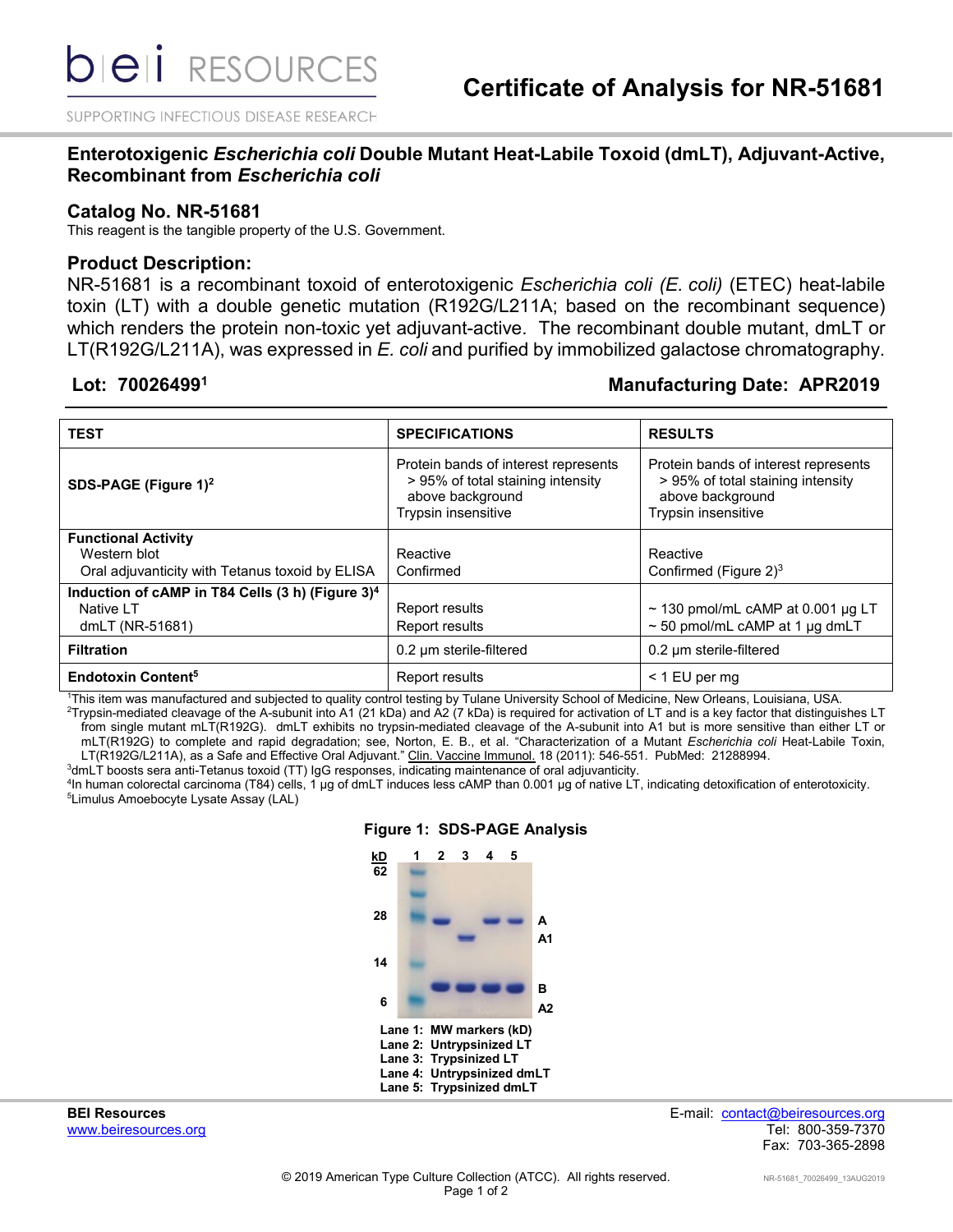SUPPORTING INFECTIOUS DISEASE RESEARCH

#### **Enterotoxigenic** *Escherichia coli* **Double Mutant Heat-Labile Toxoid (dmLT), Adjuvant-Active, Recombinant from** *Escherichia coli*

#### **Catalog No. NR-51681**

This reagent is the tangible property of the U.S. Government.

#### **Product Description:**

NR-51681 is a recombinant toxoid of enterotoxigenic *Escherichia coli (E. coli)* (ETEC) heat-labile toxin (LT) with a double genetic mutation (R192G/L211A; based on the recombinant sequence) which renders the protein non-toxic yet adjuvant-active. The recombinant double mutant, dmLT or LT(R192G/L211A), was expressed in *E. coli* and purified by immobilized galactose chromatography.

### **Lot: 700264991 Manufacturing Date: APR2019**

| <b>TEST</b>                                                                                   | <b>SPECIFICATIONS</b>                                                                                                | <b>RESULTS</b>                                                                                                       |
|-----------------------------------------------------------------------------------------------|----------------------------------------------------------------------------------------------------------------------|----------------------------------------------------------------------------------------------------------------------|
| SDS-PAGE (Figure 1) <sup>2</sup>                                                              | Protein bands of interest represents<br>> 95% of total staining intensity<br>above background<br>Trypsin insensitive | Protein bands of interest represents<br>> 95% of total staining intensity<br>above background<br>Trypsin insensitive |
| <b>Functional Activity</b><br>Western blot<br>Oral adjuvanticity with Tetanus toxoid by ELISA | Reactive<br>Confirmed                                                                                                | Reactive<br>Confirmed (Figure $2)^3$                                                                                 |
| Induction of cAMP in T84 Cells (3 h) (Figure 3) <sup>4</sup><br>Native LT<br>dmLT (NR-51681)  | Report results<br>Report results                                                                                     | $\sim$ 130 pmol/mL cAMP at 0.001 µg LT<br>$\sim$ 50 pmol/mL cAMP at 1 µg dmLT                                        |
| <b>Filtration</b>                                                                             | 0.2 µm sterile-filtered                                                                                              | 0.2 µm sterile-filtered                                                                                              |
| <b>Endotoxin Content<sup>5</sup></b>                                                          | Report results                                                                                                       | < 1 EU per mg                                                                                                        |

1 This item was manufactured and subjected to quality control testing by Tulane University School of Medicine, New Orleans, Louisiana, USA.  $^2$ Trypsin-mediated cleavage of the A-subunit into A1 (21 kDa) and A2 (7 kDa) is required for activation of LT and is a key factor that distinguishes LT from single mutant mLT(R192G). dmLT exhibits no trypsin-mediated cleavage of the A-subunit into A1 but is more sensitive than either LT or mLT(R192G) to complete and rapid degradation; see, Norton, E. B., et al. "Characterization of a Mutant *Escherichia coli* Heat-Labile Toxin, LT(R192G/L211A), as a Safe and Effective Oral Adjuvant." Clin. Vaccine Immunol. 18 (2011): 546-551. PubMed: 21288994.

 $^3$ dmLT boosts sera anti-Tetanus toxoid (TT) IgG responses, indicating maintenance of oral adjuvanticity.

<sup>4</sup>In human colorectal carcinoma (T84) cells, 1 µg of dmLT induces less cAMP than 0.001 µg of native LT, indicating detoxification of enterotoxicity.<br><sup>5</sup>l imulus Amoebocyte Lysate Assay (LAL) <sup>5</sup>Limulus Amoebocyte Lysate Assay (LAL)



#### **Figure 1: SDS-PAGE Analysis**

www.beiresources.org

**BEI Resources** E-mail: contact@beiresources.org Fax: 703-365-2898